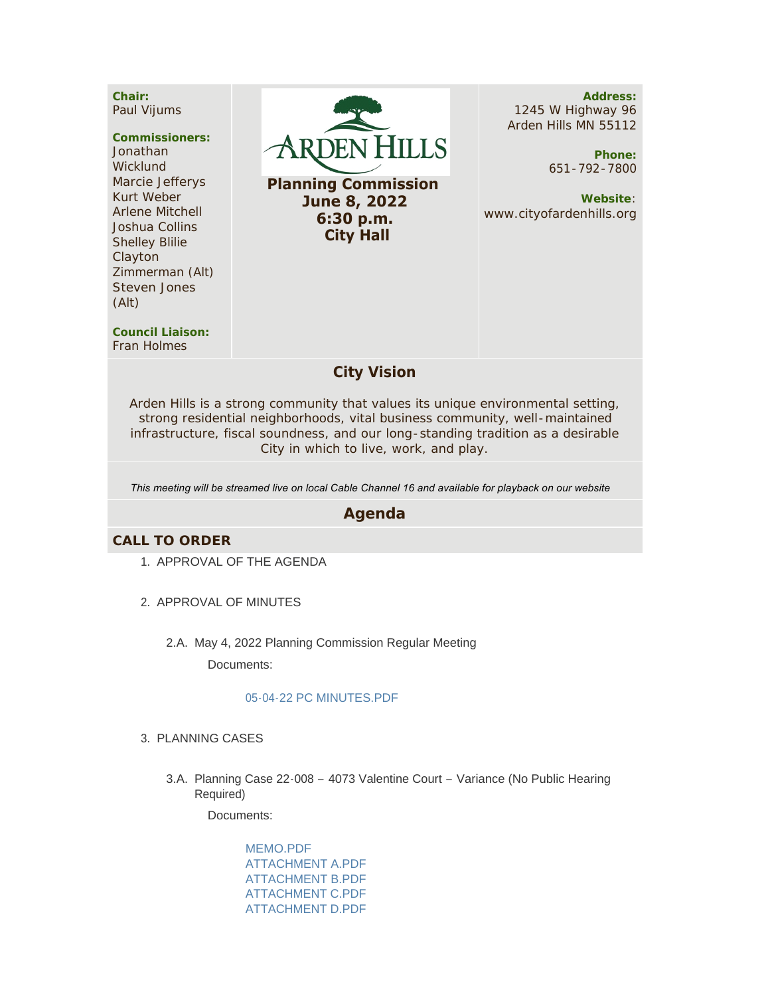**Chair:** Paul Vijums

#### **Commissioners:**

Jonathan **Wicklund** Marcie Jefferys Kurt Weber Arlene Mitchell Joshua Collins Shelley Blilie Clayton Zimmerman (Alt) Steven Jones (Alt)



**Planning Commission June 8, 2022 6:30 p.m. City Hall**

**Address:** 1245 W Highway 96 Arden Hills MN 55112

> **Phone:** 651-792-7800

**Website**: www.cityofardenhills.org

**Council Liaison:** Fran Holmes

## **City Vision**

Arden Hills is a strong community that values its unique environmental setting, strong residential neighborhoods, vital business community, well-maintained infrastructure, fiscal soundness, and our long-standing tradition as a desirable City in which to live, work, and play.

*This meeting will be streamed live on local Cable Channel 16 and available for playback on our website* 

## **Agenda**

### **CALL TO ORDER**

- 1. APPROVAL OF THE AGENDA
- 2. APPROVAL OF MINUTES
	- 2.A. May 4, 2022 Planning Commission Regular Meeting

Documents:

#### [05-04-22 PC MINUTES.PDF](https://www.cityofardenhills.org/AgendaCenter/ViewFile/Item/8990?fileID=13912)

- PLANNING CASES 3.
	- 3.A. Planning Case 22-008 4073 Valentine Court Variance (No Public Hearing Required)

Documents:

[MEMO.PDF](https://www.cityofardenhills.org/AgendaCenter/ViewFile/Item/8991?fileID=13913) [ATTACHMENT A.PDF](https://www.cityofardenhills.org/AgendaCenter/ViewFile/Item/8991?fileID=13914) [ATTACHMENT B.PDF](https://www.cityofardenhills.org/AgendaCenter/ViewFile/Item/8991?fileID=13915) [ATTACHMENT C.PDF](https://www.cityofardenhills.org/AgendaCenter/ViewFile/Item/8991?fileID=13916) [ATTACHMENT D.PDF](https://www.cityofardenhills.org/AgendaCenter/ViewFile/Item/8991?fileID=13917)